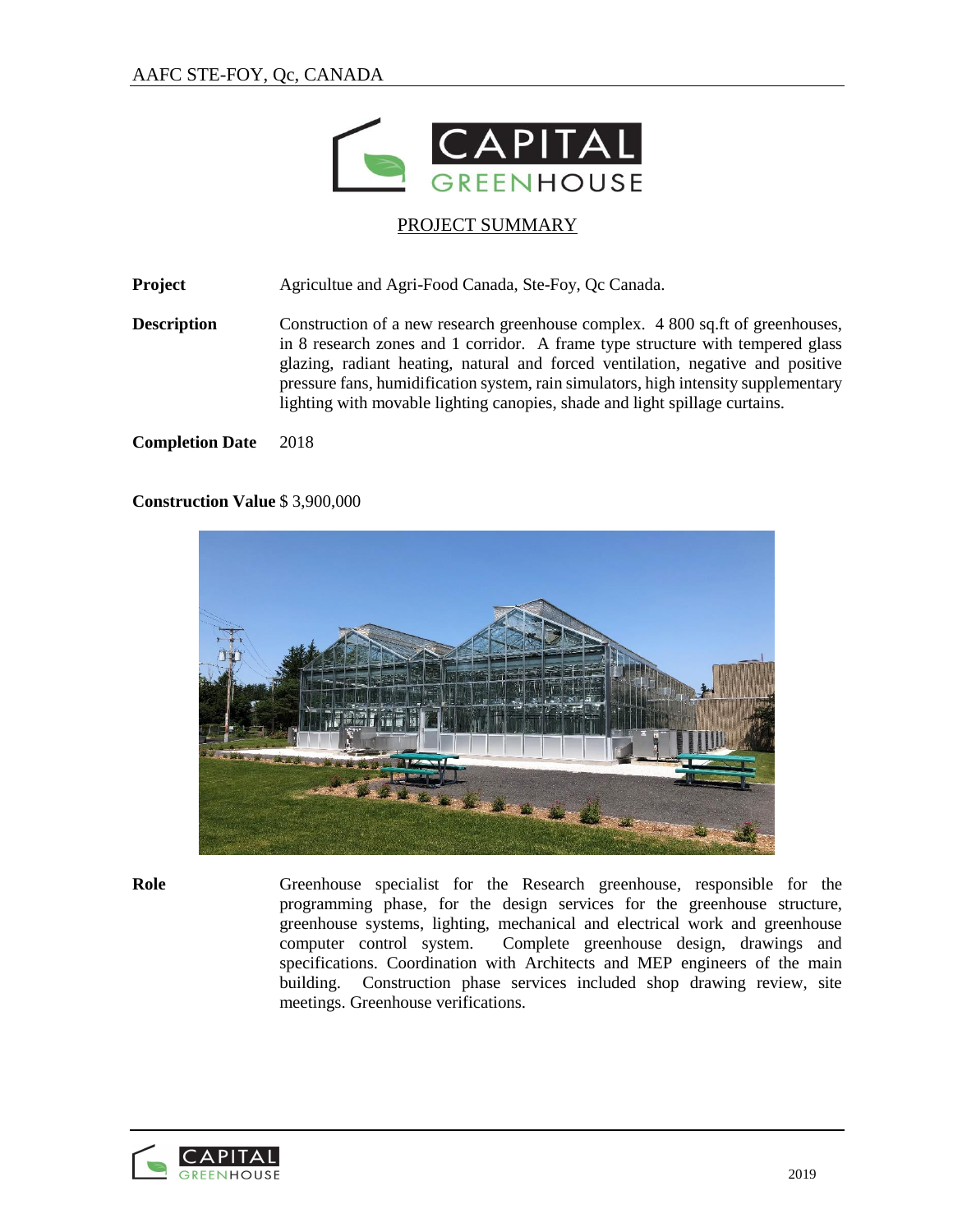

## PROJECT SUMMARY

**Project** Agricultue and Agri-Food Canada, Ste-Foy, Qc Canada.

**Description** Construction of a new research greenhouse complex. 4 800 sq.ft of greenhouses, in 8 research zones and 1 corridor. A frame type structure with tempered glass glazing, radiant heating, natural and forced ventilation, negative and positive pressure fans, humidification system, rain simulators, high intensity supplementary lighting with movable lighting canopies, shade and light spillage curtains.

#### **Completion Date** 2018

### **Construction Value** \$ 3,900,000



**Role** Greenhouse specialist for the Research greenhouse, responsible for the programming phase, for the design services for the greenhouse structure, greenhouse systems, lighting, mechanical and electrical work and greenhouse computer control system. Complete greenhouse design, drawings and specifications. Coordination with Architects and MEP engineers of the main building. Construction phase services included shop drawing review, site meetings. Greenhouse verifications.

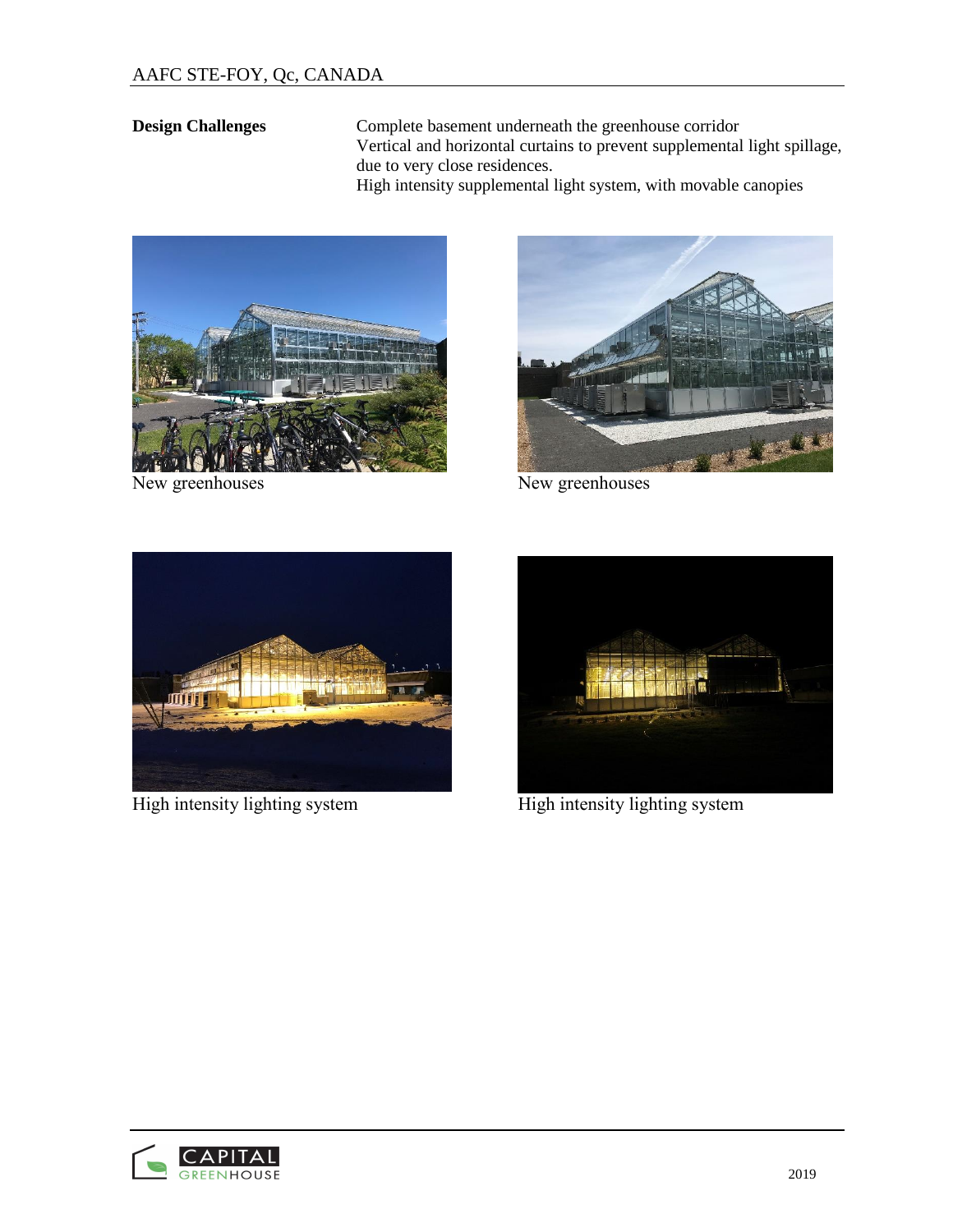**Design Challenges** Complete basement underneath the greenhouse corridor Vertical and horizontal curtains to prevent supplemental light spillage, due to very close residences. High intensity supplemental light system, with movable canopies



New greenhouses New greenhouses





High intensity lighting system High intensity lighting system